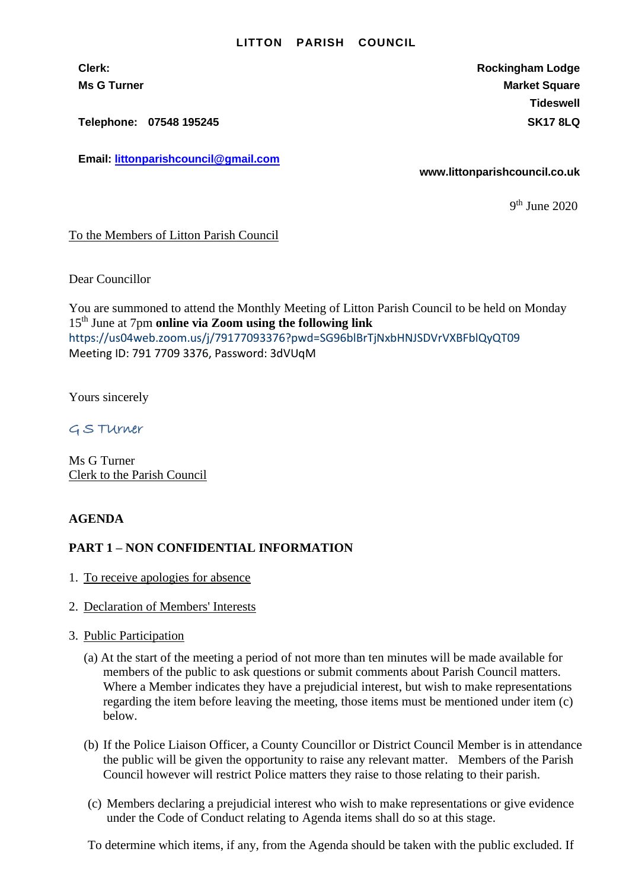#### **LITTON PARISH COUNCIL**

**Clerk: Rockingham Lodge Ms G Turner Market Square** Market Square Market Square Market Square **Tideswell**

**Telephone: 07548 195245 SK17 8LQ**

**Email: [littonparishcouncil@gmail.com](mailto:littonparishcouncil@gmail.com)**

**www.littonparishcouncil.co.uk**

9 th June 2020

### To the Members of Litton Parish Council

Dear Councillor

You are summoned to attend the Monthly Meeting of Litton Parish Council to be held on Monday 15th June at 7pm **online via Zoom using the following link** <https://us04web.zoom.us/j/79177093376?pwd=SG96blBrTjNxbHNJSDVrVXBFblQyQT09> Meeting ID: 791 7709 3376, Password: 3dVUqM

Yours sincerely

G S TUrner

Ms G Turner Clerk to the Parish Council

### **AGENDA**

# **PART 1 – NON CONFIDENTIAL INFORMATION**

- 1. To receive apologies for absence
- 2. Declaration of Members' Interests
- 3. Public Participation
	- (a) At the start of the meeting a period of not more than ten minutes will be made available for members of the public to ask questions or submit comments about Parish Council matters. Where a Member indicates they have a prejudicial interest, but wish to make representations regarding the item before leaving the meeting, those items must be mentioned under item (c) below.
	- (b) If the Police Liaison Officer, a County Councillor or District Council Member is in attendance the public will be given the opportunity to raise any relevant matter. Members of the Parish Council however will restrict Police matters they raise to those relating to their parish.
	- (c) Members declaring a prejudicial interest who wish to make representations or give evidence under the Code of Conduct relating to Agenda items shall do so at this stage.

To determine which items, if any, from the Agenda should be taken with the public excluded. If